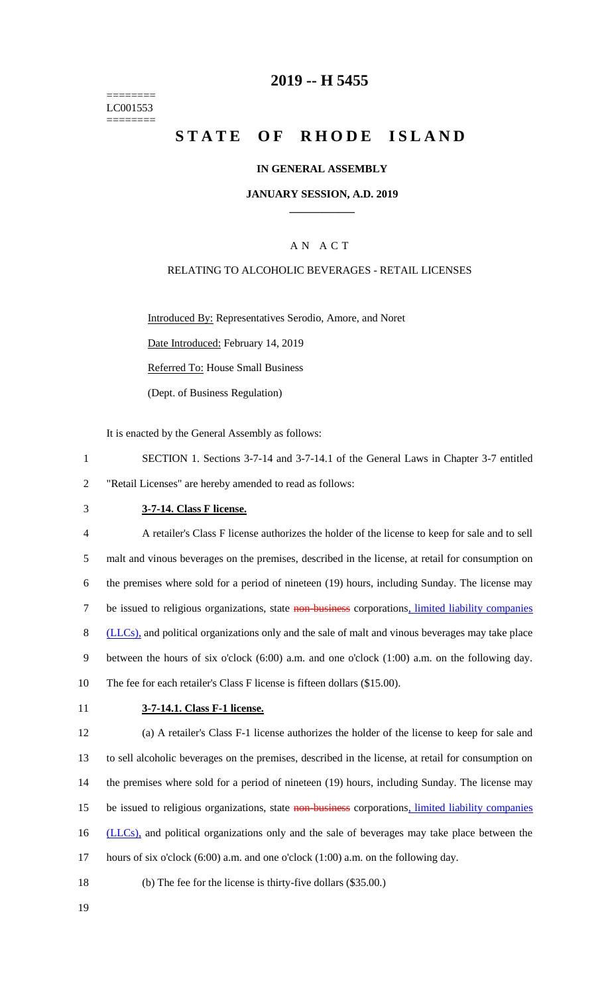======== LC001553 ========

## **2019 -- H 5455**

# STATE OF RHODE ISLAND

## **IN GENERAL ASSEMBLY**

### **JANUARY SESSION, A.D. 2019 \_\_\_\_\_\_\_\_\_\_\_\_**

## A N A C T

## RELATING TO ALCOHOLIC BEVERAGES - RETAIL LICENSES

Introduced By: Representatives Serodio, Amore, and Noret

Date Introduced: February 14, 2019

Referred To: House Small Business

(Dept. of Business Regulation)

It is enacted by the General Assembly as follows:

- 1 SECTION 1. Sections 3-7-14 and 3-7-14.1 of the General Laws in Chapter 3-7 entitled 2 "Retail Licenses" are hereby amended to read as follows:
- 

## 3 **3-7-14. Class F license.**

4 A retailer's Class F license authorizes the holder of the license to keep for sale and to sell 5 malt and vinous beverages on the premises, described in the license, at retail for consumption on 6 the premises where sold for a period of nineteen (19) hours, including Sunday. The license may 7 be issued to religious organizations, state non-business corporations, limited liability companies 8 (LLCs), and political organizations only and the sale of malt and vinous beverages may take place 9 between the hours of six o'clock (6:00) a.m. and one o'clock (1:00) a.m. on the following day. 10 The fee for each retailer's Class F license is fifteen dollars (\$15.00).

#### 11 **3-7-14.1. Class F-1 license.**

12 (a) A retailer's Class F-1 license authorizes the holder of the license to keep for sale and 13 to sell alcoholic beverages on the premises, described in the license, at retail for consumption on 14 the premises where sold for a period of nineteen (19) hours, including Sunday. The license may 15 be issued to religious organizations, state non-business corporations, limited liability companies 16 (LLCs), and political organizations only and the sale of beverages may take place between the 17 hours of six o'clock (6:00) a.m. and one o'clock (1:00) a.m. on the following day.

- 18 (b) The fee for the license is thirty-five dollars (\$35.00.)
- 19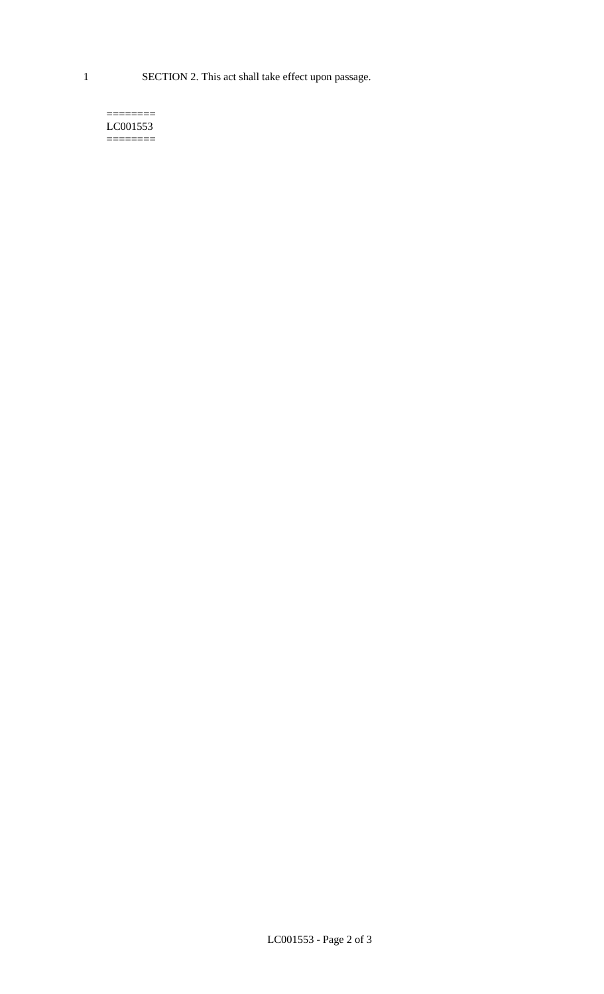1 SECTION 2. This act shall take effect upon passage.

#### $=$ LC001553  $=$